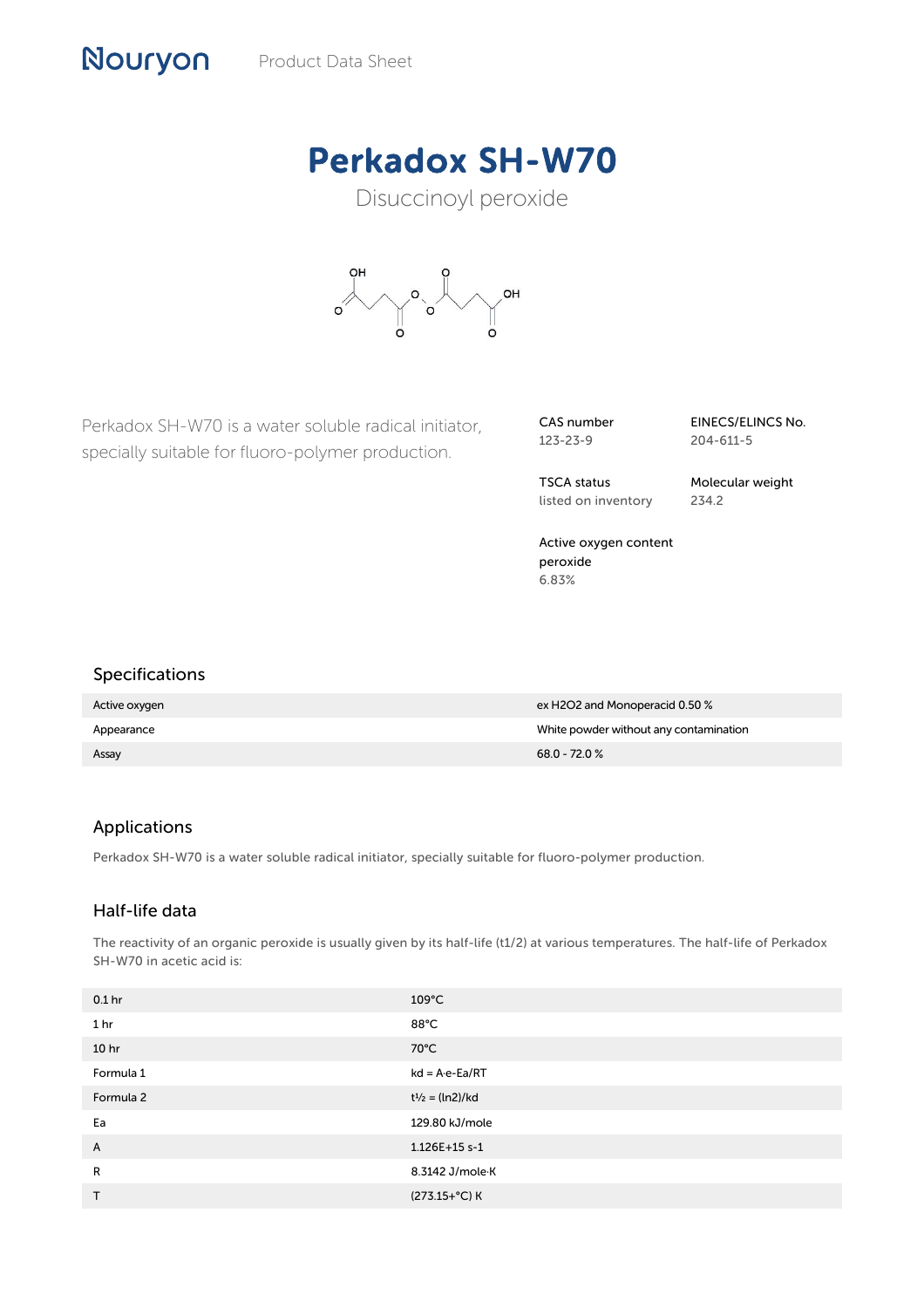# Perkadox SH-W70

Disuccinoyl peroxide



Perkadox SH-W70 is a water soluble radical initiator, specially suitable for fluoro-polymer production.

CAS number 123-23-9

EINECS/ELINCS No. 204-611-5

TSCA status listed on inventory Molecular weight 234.2

Active oxygen content peroxide 6.83%

## Specifications

Nouryon

| Active oxygen | ex H2O2 and Monoperacid 0.50 %         |
|---------------|----------------------------------------|
| Appearance    | White powder without any contamination |
| Assay         | $68.0 - 72.0 %$                        |

## Applications

Perkadox SH-W70 is a water soluble radical initiator, specially suitable for fluoro-polymer production.

## Half-life data

The reactivity of an organic peroxide is usually given by its half-life (t1/2) at various temperatures. The half-life of Perkadox SH-W70 in acetic acid is:

| 0.1 <sub>hr</sub> | $109^{\circ}$ C          |
|-------------------|--------------------------|
| 1 <sub>hr</sub>   | 88°C                     |
| 10 <sub>hr</sub>  | 70°C                     |
| Formula 1         | $kd = A \cdot e - Ea/RT$ |
| Formula 2         | $t^{1/2} = (ln2)/kd$     |
| Ea                | 129.80 kJ/mole           |
| A                 | 1.126E+15 s-1            |
| R                 | 8.3142 J/mole K          |
| $\mathsf{T}$      | $(273.15+°C)$ K          |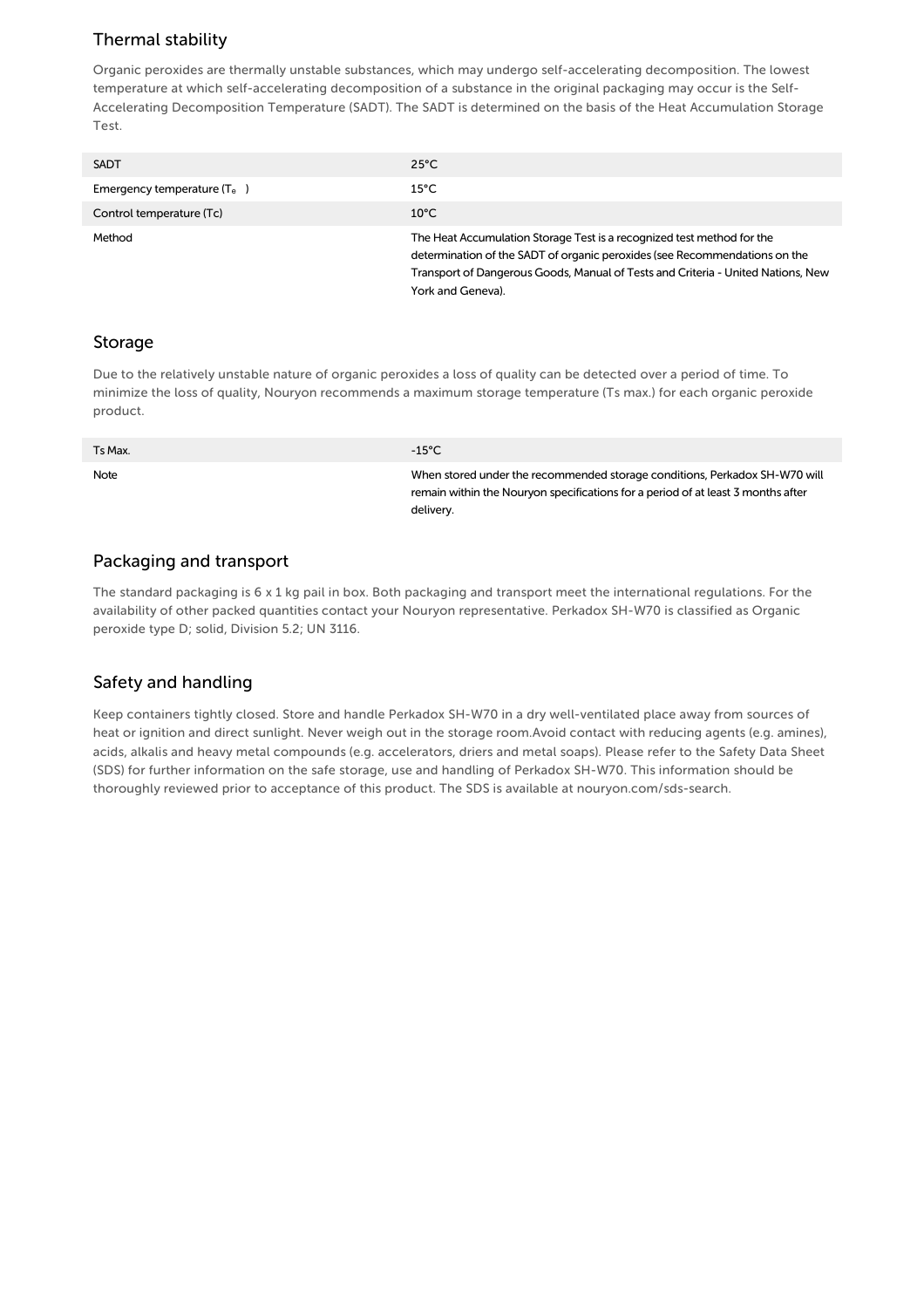# Thermal stability

Organic peroxides are thermally unstable substances, which may undergo self-accelerating decomposition. The lowest temperature at which self-accelerating decomposition of a substance in the original packaging may occur is the Self-Accelerating Decomposition Temperature (SADT). The SADT is determined on the basis of the Heat Accumulation Storage Test.

| <b>SADT</b>                   | $25^{\circ}$ C                                                                                                                                                                                                                                                |
|-------------------------------|---------------------------------------------------------------------------------------------------------------------------------------------------------------------------------------------------------------------------------------------------------------|
| Emergency temperature $(T_e)$ | $15^{\circ}$ C                                                                                                                                                                                                                                                |
| Control temperature (Tc)      | $10^{\circ}$ C                                                                                                                                                                                                                                                |
| Method                        | The Heat Accumulation Storage Test is a recognized test method for the<br>determination of the SADT of organic peroxides (see Recommendations on the<br>Transport of Dangerous Goods, Manual of Tests and Criteria - United Nations, New<br>York and Geneva). |

## Storage

Due to the relatively unstable nature of organic peroxides a loss of quality can be detected over a period of time. To minimize the loss of quality, Nouryon recommends a maximum storage temperature (Ts max.) for each organic peroxide product.

| Ts Max. | -15°C                                                                                                                                                                       |
|---------|-----------------------------------------------------------------------------------------------------------------------------------------------------------------------------|
| Note    | When stored under the recommended storage conditions, Perkadox SH-W70 will<br>remain within the Nouryon specifications for a period of at least 3 months after<br>delivery. |

## Packaging and transport

The standard packaging is  $6 \times 1$  kg pail in box. Both packaging and transport meet the international regulations. For the availability of other packed quantities contact your Nouryon representative. Perkadox SH-W70 is classified as Organic peroxide type D; solid, Division 5.2; UN 3116.

## Safety and handling

Keep containers tightly closed. Store and handle Perkadox SH-W70 in a dry well-ventilated place away from sources of heat or ignition and direct sunlight. Never weigh out in the storage room.Avoid contact with reducing agents (e.g. amines), acids, alkalis and heavy metal compounds (e.g. accelerators, driers and metal soaps). Please refer to the Safety Data Sheet (SDS) for further information on the safe storage, use and handling of Perkadox SH-W70. This information should be thoroughly reviewed prior to acceptance of this product. The SDS is available at nouryon.com/sds-search.